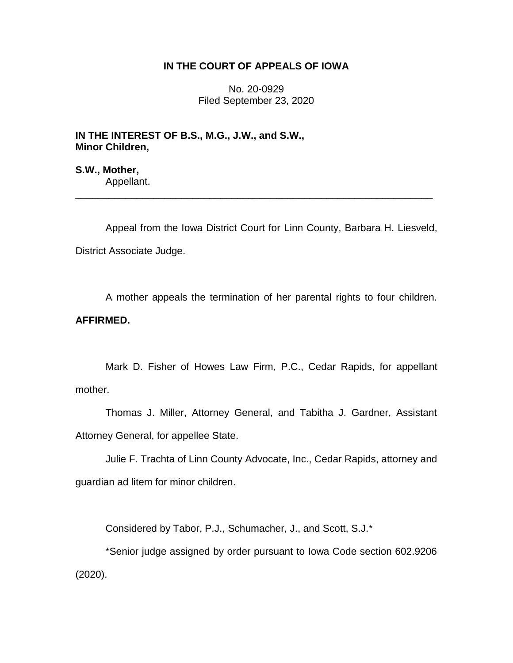# **IN THE COURT OF APPEALS OF IOWA**

No. 20-0929 Filed September 23, 2020

**IN THE INTEREST OF B.S., M.G., J.W., and S.W., Minor Children,**

**S.W., Mother,** Appellant.

Appeal from the Iowa District Court for Linn County, Barbara H. Liesveld, District Associate Judge.

\_\_\_\_\_\_\_\_\_\_\_\_\_\_\_\_\_\_\_\_\_\_\_\_\_\_\_\_\_\_\_\_\_\_\_\_\_\_\_\_\_\_\_\_\_\_\_\_\_\_\_\_\_\_\_\_\_\_\_\_\_\_\_\_

A mother appeals the termination of her parental rights to four children. **AFFIRMED.**

Mark D. Fisher of Howes Law Firm, P.C., Cedar Rapids, for appellant mother.

Thomas J. Miller, Attorney General, and Tabitha J. Gardner, Assistant Attorney General, for appellee State.

Julie F. Trachta of Linn County Advocate, Inc., Cedar Rapids, attorney and guardian ad litem for minor children.

Considered by Tabor, P.J., Schumacher, J., and Scott, S.J.\*

\*Senior judge assigned by order pursuant to Iowa Code section 602.9206 (2020).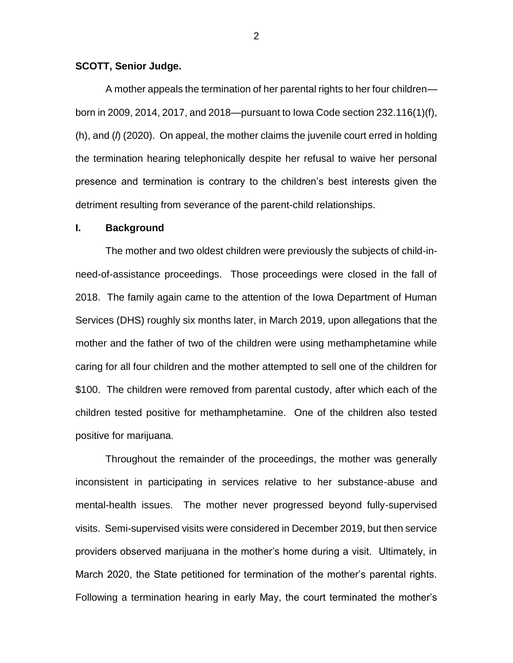# **SCOTT, Senior Judge.**

A mother appeals the termination of her parental rights to her four children born in 2009, 2014, 2017, and 2018—pursuant to Iowa Code section 232.116(1)(f), (h), and (*l*) (2020). On appeal, the mother claims the juvenile court erred in holding the termination hearing telephonically despite her refusal to waive her personal presence and termination is contrary to the children's best interests given the detriment resulting from severance of the parent-child relationships.

#### **I. Background**

The mother and two oldest children were previously the subjects of child-inneed-of-assistance proceedings. Those proceedings were closed in the fall of 2018. The family again came to the attention of the Iowa Department of Human Services (DHS) roughly six months later, in March 2019, upon allegations that the mother and the father of two of the children were using methamphetamine while caring for all four children and the mother attempted to sell one of the children for \$100. The children were removed from parental custody, after which each of the children tested positive for methamphetamine. One of the children also tested positive for marijuana.

Throughout the remainder of the proceedings, the mother was generally inconsistent in participating in services relative to her substance-abuse and mental-health issues. The mother never progressed beyond fully-supervised visits. Semi-supervised visits were considered in December 2019, but then service providers observed marijuana in the mother's home during a visit. Ultimately, in March 2020, the State petitioned for termination of the mother's parental rights. Following a termination hearing in early May, the court terminated the mother's

2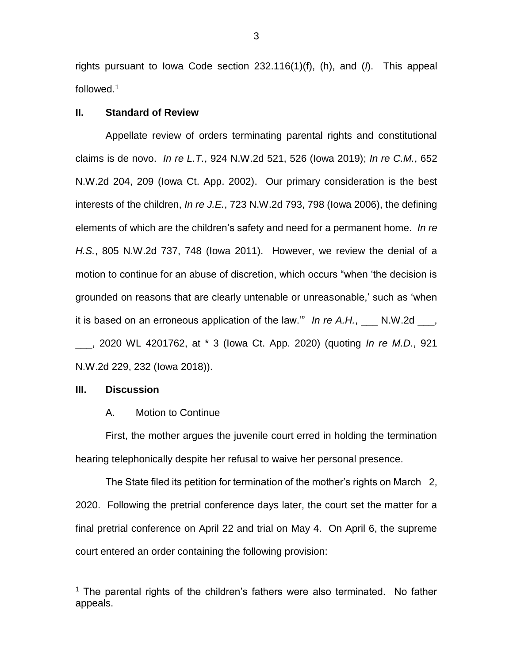rights pursuant to Iowa Code section 232.116(1)(f), (h), and (*l*). This appeal followed.<sup>1</sup>

### **II. Standard of Review**

Appellate review of orders terminating parental rights and constitutional claims is de novo. *In re L.T.*, 924 N.W.2d 521, 526 (Iowa 2019); *In re C.M.*, 652 N.W.2d 204, 209 (Iowa Ct. App. 2002). Our primary consideration is the best interests of the children, *In re J.E.*, 723 N.W.2d 793, 798 (Iowa 2006), the defining elements of which are the children's safety and need for a permanent home. *In re H.S.*, 805 N.W.2d 737, 748 (Iowa 2011). However, we review the denial of a motion to continue for an abuse of discretion, which occurs "when 'the decision is grounded on reasons that are clearly untenable or unreasonable,' such as 'when it is based on an erroneous application of the law." *In re A.H.*, \_\_\_ N.W.2d \_\_\_, \_\_\_, 2020 WL 4201762, at \* 3 (Iowa Ct. App. 2020) (quoting *In re M.D.*, 921 N.W.2d 229, 232 (Iowa 2018)).

#### **III. Discussion**

 $\overline{a}$ 

#### A. Motion to Continue

First, the mother argues the juvenile court erred in holding the termination hearing telephonically despite her refusal to waive her personal presence.

The State filed its petition for termination of the mother's rights on March 2, 2020. Following the pretrial conference days later, the court set the matter for a final pretrial conference on April 22 and trial on May 4. On April 6, the supreme court entered an order containing the following provision:

 $1$  The parental rights of the children's fathers were also terminated. No father appeals.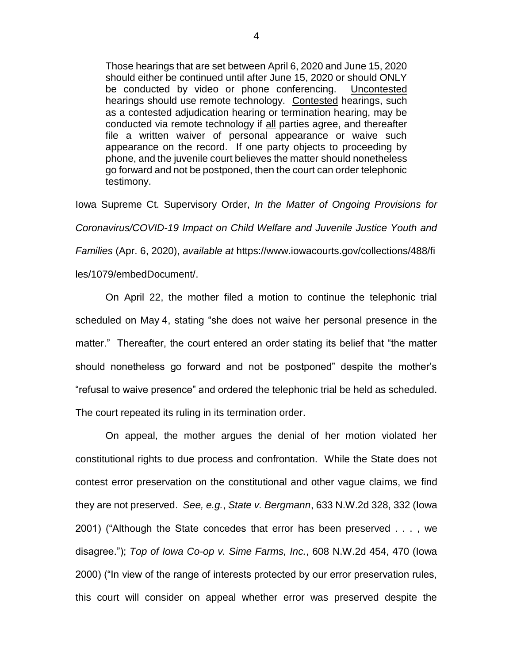Those hearings that are set between April 6, 2020 and June 15, 2020 should either be continued until after June 15, 2020 or should ONLY be conducted by video or phone conferencing. Uncontested hearings should use remote technology. Contested hearings, such as a contested adjudication hearing or termination hearing, may be conducted via remote technology if all parties agree, and thereafter file a written waiver of personal appearance or waive such appearance on the record. If one party objects to proceeding by phone, and the juvenile court believes the matter should nonetheless go forward and not be postponed, then the court can order telephonic testimony.

Iowa Supreme Ct. Supervisory Order, *In the Matter of Ongoing Provisions for Coronavirus/COVID-19 Impact on Child Welfare and Juvenile Justice Youth and Families* (Apr. 6, 2020), *available at* https://www.iowacourts.gov/collections/488/fi

les/1079/embedDocument/.

On April 22, the mother filed a motion to continue the telephonic trial scheduled on May 4, stating "she does not waive her personal presence in the matter." Thereafter, the court entered an order stating its belief that "the matter should nonetheless go forward and not be postponed" despite the mother's "refusal to waive presence" and ordered the telephonic trial be held as scheduled. The court repeated its ruling in its termination order.

On appeal, the mother argues the denial of her motion violated her constitutional rights to due process and confrontation. While the State does not contest error preservation on the constitutional and other vague claims, we find they are not preserved. *See, e.g.*, *State v. Bergmann*, 633 N.W.2d 328, 332 (Iowa 2001) ("Although the State concedes that error has been preserved . . . , we disagree."); *Top of Iowa Co-op v. Sime Farms, Inc.*, 608 N.W.2d 454, 470 (Iowa 2000) ("In view of the range of interests protected by our error preservation rules, this court will consider on appeal whether error was preserved despite the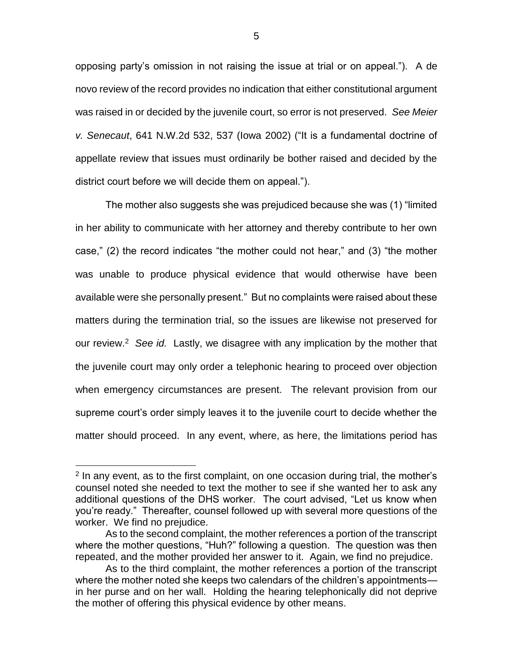opposing party's omission in not raising the issue at trial or on appeal."). A de novo review of the record provides no indication that either constitutional argument was raised in or decided by the juvenile court, so error is not preserved. *See Meier v. Senecaut*, 641 N.W.2d 532, 537 (Iowa 2002) ("It is a fundamental doctrine of appellate review that issues must ordinarily be bother raised and decided by the district court before we will decide them on appeal.").

The mother also suggests she was prejudiced because she was (1) "limited in her ability to communicate with her attorney and thereby contribute to her own case," (2) the record indicates "the mother could not hear," and (3) "the mother was unable to produce physical evidence that would otherwise have been available were she personally present." But no complaints were raised about these matters during the termination trial, so the issues are likewise not preserved for our review.<sup>2</sup> See id. Lastly, we disagree with any implication by the mother that the juvenile court may only order a telephonic hearing to proceed over objection when emergency circumstances are present. The relevant provision from our supreme court's order simply leaves it to the juvenile court to decide whether the matter should proceed. In any event, where, as here, the limitations period has

 $\overline{a}$ 

<sup>&</sup>lt;sup>2</sup> In any event, as to the first complaint, on one occasion during trial, the mother's counsel noted she needed to text the mother to see if she wanted her to ask any additional questions of the DHS worker. The court advised, "Let us know when you're ready." Thereafter, counsel followed up with several more questions of the worker. We find no prejudice.

As to the second complaint, the mother references a portion of the transcript where the mother questions, "Huh?" following a question. The question was then repeated, and the mother provided her answer to it. Again, we find no prejudice.

As to the third complaint, the mother references a portion of the transcript where the mother noted she keeps two calendars of the children's appointments in her purse and on her wall. Holding the hearing telephonically did not deprive the mother of offering this physical evidence by other means.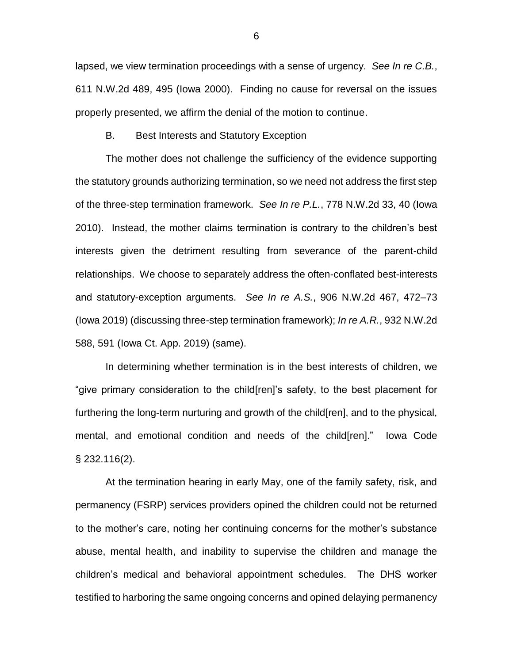lapsed, we view termination proceedings with a sense of urgency. *See In re C.B.*, 611 N.W.2d 489, 495 (Iowa 2000). Finding no cause for reversal on the issues properly presented, we affirm the denial of the motion to continue.

B. Best Interests and Statutory Exception

The mother does not challenge the sufficiency of the evidence supporting the statutory grounds authorizing termination, so we need not address the first step of the three-step termination framework. *See In re P.L.*, 778 N.W.2d 33, 40 (Iowa 2010).Instead, the mother claims termination is contrary to the children's best interests given the detriment resulting from severance of the parent-child relationships. We choose to separately address the often-conflated best-interests and statutory-exception arguments. *See In re A.S.*, 906 N.W.2d 467, 472–73 (Iowa 2019) (discussing three-step termination framework); *In re A.R.*, 932 N.W.2d 588, 591 (Iowa Ct. App. 2019) (same).

In determining whether termination is in the best interests of children, we "give primary consideration to the child[ren]'s safety, to the best placement for furthering the long-term nurturing and growth of the child[ren], and to the physical, mental, and emotional condition and needs of the child[ren]." Iowa Code § 232.116(2).

At the termination hearing in early May, one of the family safety, risk, and permanency (FSRP) services providers opined the children could not be returned to the mother's care, noting her continuing concerns for the mother's substance abuse, mental health, and inability to supervise the children and manage the children's medical and behavioral appointment schedules. The DHS worker testified to harboring the same ongoing concerns and opined delaying permanency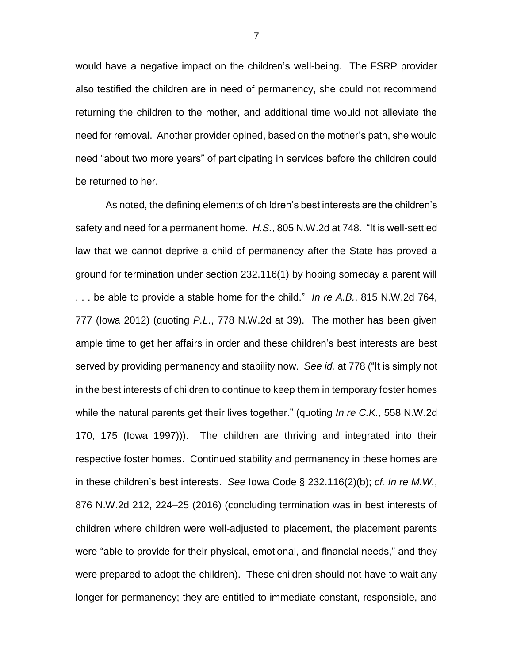would have a negative impact on the children's well-being. The FSRP provider also testified the children are in need of permanency, she could not recommend returning the children to the mother, and additional time would not alleviate the need for removal. Another provider opined, based on the mother's path, she would need "about two more years" of participating in services before the children could be returned to her.

As noted, the defining elements of children's best interests are the children's safety and need for a permanent home. *H.S.*, 805 N.W.2d at 748. "It is well-settled law that we cannot deprive a child of permanency after the State has proved a ground for termination under section 232.116(1) by hoping someday a parent will . . . be able to provide a stable home for the child." *In re A.B.*, 815 N.W.2d 764, 777 (Iowa 2012) (quoting *P.L.*, 778 N.W.2d at 39). The mother has been given ample time to get her affairs in order and these children's best interests are best served by providing permanency and stability now. *See id.* at 778 ("It is simply not in the best interests of children to continue to keep them in temporary foster homes while the natural parents get their lives together." (quoting *In re C.K.*, 558 N.W.2d 170, 175 (Iowa 1997))). The children are thriving and integrated into their respective foster homes. Continued stability and permanency in these homes are in these children's best interests. *See* Iowa Code § 232.116(2)(b); *cf. In re M.W.*, 876 N.W.2d 212, 224–25 (2016) (concluding termination was in best interests of children where children were well-adjusted to placement, the placement parents were "able to provide for their physical, emotional, and financial needs," and they were prepared to adopt the children). These children should not have to wait any longer for permanency; they are entitled to immediate constant, responsible, and